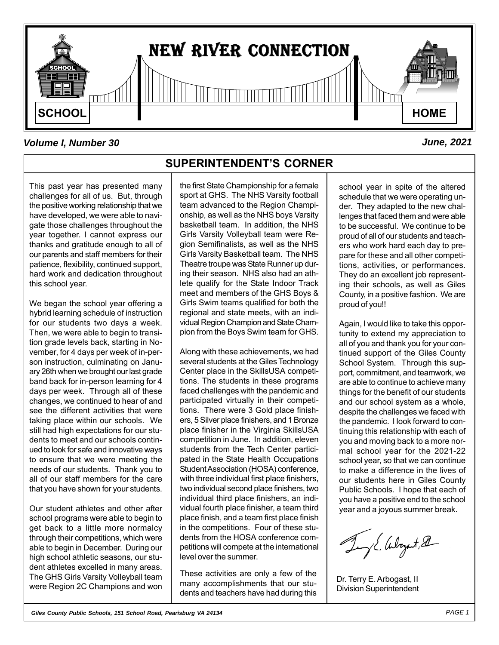

### *Volume I, Number 30 June, 2021*

This past year has presented many challenges for all of us. But, through the positive working relationship that we have developed, we were able to navigate those challenges throughout the year together. I cannot express our thanks and gratitude enough to all of our parents and staff members for their patience, flexibility, continued support, hard work and dedication throughout this school year.

We began the school year offering a hybrid learning schedule of instruction for our students two days a week. Then, we were able to begin to transition grade levels back, starting in November, for 4 days per week of in-person instruction, culminating on January 26th when we brought our last grade band back for in-person learning for 4 days per week. Through all of these changes, we continued to hear of and see the different activities that were taking place within our schools. We still had high expectations for our students to meet and our schools continued to look for safe and innovative ways to ensure that we were meeting the needs of our students. Thank you to all of our staff members for the care that you have shown for your students.

Our student athletes and other after school programs were able to begin to get back to a little more normalcy through their competitions, which were able to begin in December. During our high school athletic seasons, our student athletes excelled in many areas. The GHS Girls Varsity Volleyball team were Region 2C Champions and won

### **SUPERINTENDENT'S CORNER**

the first State Championship for a female sport at GHS. The NHS Varsity football team advanced to the Region Championship, as well as the NHS boys Varsity basketball team. In addition, the NHS Girls Varsity Volleyball team were Region Semifinalists, as well as the NHS Girls Varsity Basketball team. The NHS Theatre troupe was State Runner up during their season. NHS also had an athlete qualify for the State Indoor Track meet and members of the GHS Boys & Girls Swim teams qualified for both the regional and state meets, with an individual Region Champion and State Champion from the Boys Swim team for GHS.

Along with these achievements, we had several students at the Giles Technology Center place in the SkillsUSA competitions. The students in these programs faced challenges with the pandemic and participated virtually in their competitions. There were 3 Gold place finishers, 5 Silver place finishers, and 1 Bronze place finisher in the Virginia SkillsUSA competition in June. In addition, eleven students from the Tech Center participated in the State Health Occupations Student Association (HOSA) conference, with three individual first place finishers, two individual second place finishers, two individual third place finishers, an individual fourth place finisher, a team third place finish, and a team first place finish in the competitions. Four of these students from the HOSA conference competitions will compete at the international level over the summer.

These activities are only a few of the many accomplishments that our students and teachers have had during this school year in spite of the altered schedule that we were operating under. They adapted to the new challenges that faced them and were able to be successful. We continue to be proud of all of our students and teachers who work hard each day to prepare for these and all other competitions, activities, or performances. They do an excellent job representing their schools, as well as Giles County, in a positive fashion. We are proud of you!!

Again, I would like to take this opportunity to extend my appreciation to all of you and thank you for your continued support of the Giles County School System. Through this support, commitment, and teamwork, we are able to continue to achieve many things for the benefit of our students and our school system as a whole, despite the challenges we faced with the pandemic. I look forward to continuing this relationship with each of you and moving back to a more normal school year for the 2021-22 school year, so that we can continue to make a difference in the lives of our students here in Giles County Public Schools. I hope that each of you have a positive end to the school year and a joyous summer break.

JE. Aloyat, 21

Dr. Terry E. Arbogast, II Division Superintendent